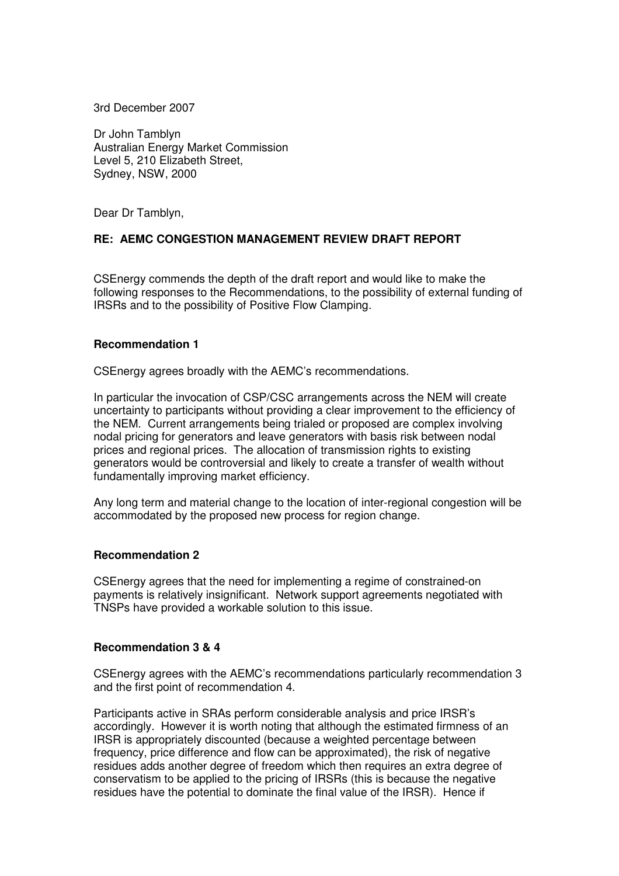3rd December 2007

Dr John Tamblyn Australian Energy Market Commission Level 5, 210 Elizabeth Street, Sydney, NSW, 2000

Dear Dr Tamblyn,

## **RE: AEMC CONGESTION MANAGEMENT REVIEW DRAFT REPORT**

CSEnergy commends the depth of the draft report and would like to make the following responses to the Recommendations, to the possibility of external funding of IRSRs and to the possibility of Positive Flow Clamping.

### **Recommendation 1**

CSEnergy agrees broadly with the AEMC's recommendations.

In particular the invocation of CSP/CSC arrangements across the NEM will create uncertainty to participants without providing a clear improvement to the efficiency of the NEM. Current arrangements being trialed or proposed are complex involving nodal pricing for generators and leave generators with basis risk between nodal prices and regional prices. The allocation of transmission rights to existing generators would be controversial and likely to create a transfer of wealth without fundamentally improving market efficiency.

Any long term and material change to the location of inter-regional congestion will be accommodated by the proposed new process for region change.

#### **Recommendation 2**

CSEnergy agrees that the need for implementing a regime of constrained-on payments is relatively insignificant. Network support agreements negotiated with TNSPs have provided a workable solution to this issue.

### **Recommendation 3 & 4**

CSEnergy agrees with the AEMC's recommendations particularly recommendation 3 and the first point of recommendation 4.

Participants active in SRAs perform considerable analysis and price IRSR's accordingly. However it is worth noting that although the estimated firmness of an IRSR is appropriately discounted (because a weighted percentage between frequency, price difference and flow can be approximated), the risk of negative residues adds another degree of freedom which then requires an extra degree of conservatism to be applied to the pricing of IRSRs (this is because the negative residues have the potential to dominate the final value of the IRSR). Hence if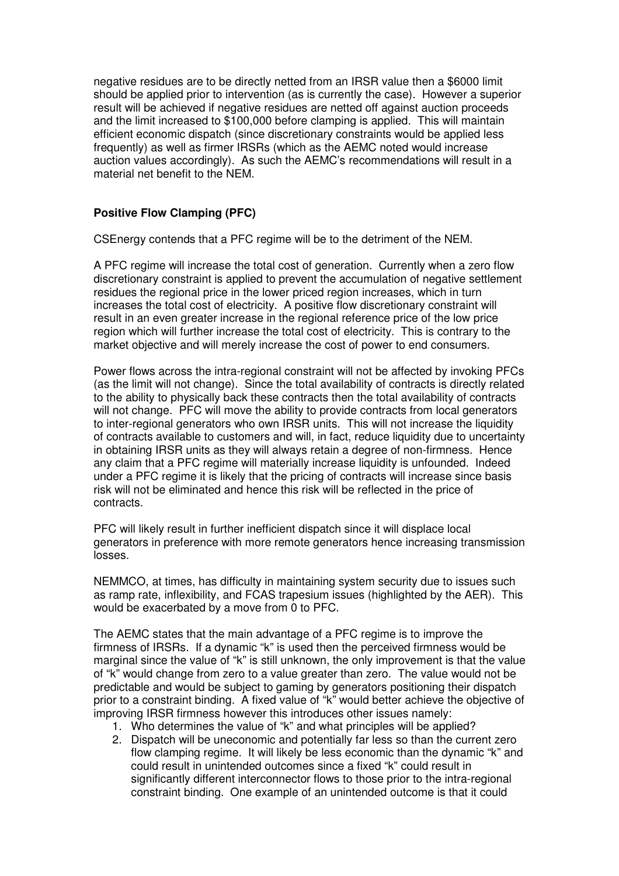negative residues are to be directly netted from an IRSR value then a \$6000 limit should be applied prior to intervention (as is currently the case). However a superior result will be achieved if negative residues are netted off against auction proceeds and the limit increased to \$100,000 before clamping is applied. This will maintain efficient economic dispatch (since discretionary constraints would be applied less frequently) as well as firmer IRSRs (which as the AEMC noted would increase auction values accordingly). As such the AEMC's recommendations will result in a material net benefit to the NEM.

# **Positive Flow Clamping (PFC)**

CSEnergy contends that a PFC regime will be to the detriment of the NEM.

A PFC regime will increase the total cost of generation. Currently when a zero flow discretionary constraint is applied to prevent the accumulation of negative settlement residues the regional price in the lower priced region increases, which in turn increases the total cost of electricity. A positive flow discretionary constraint will result in an even greater increase in the regional reference price of the low price region which will further increase the total cost of electricity. This is contrary to the market objective and will merely increase the cost of power to end consumers.

Power flows across the intra-regional constraint will not be affected by invoking PFCs (as the limit will not change). Since the total availability of contracts is directly related to the ability to physically back these contracts then the total availability of contracts will not change. PFC will move the ability to provide contracts from local generators to inter-regional generators who own IRSR units. This will not increase the liquidity of contracts available to customers and will, in fact, reduce liquidity due to uncertainty in obtaining IRSR units as they will always retain a degree of non-firmness. Hence any claim that a PFC regime will materially increase liquidity is unfounded. Indeed under a PFC regime it is likely that the pricing of contracts will increase since basis risk will not be eliminated and hence this risk will be reflected in the price of contracts.

PFC will likely result in further inefficient dispatch since it will displace local generators in preference with more remote generators hence increasing transmission losses.

NEMMCO, at times, has difficulty in maintaining system security due to issues such as ramp rate, inflexibility, and FCAS trapesium issues (highlighted by the AER). This would be exacerbated by a move from 0 to PFC.

The AEMC states that the main advantage of a PFC regime is to improve the firmness of IRSRs. If a dynamic "k" is used then the perceived firmness would be marginal since the value of "k" is still unknown, the only improvement is that the value of "k" would change from zero to a value greater than zero. The value would not be predictable and would be subject to gaming by generators positioning their dispatch prior to a constraint binding. A fixed value of "k" would better achieve the objective of improving IRSR firmness however this introduces other issues namely:

- 1. Who determines the value of "k" and what principles will be applied?
- 2. Dispatch will be uneconomic and potentially far less so than the current zero flow clamping regime. It will likely be less economic than the dynamic "k" and could result in unintended outcomes since a fixed "k" could result in significantly different interconnector flows to those prior to the intra-regional constraint binding. One example of an unintended outcome is that it could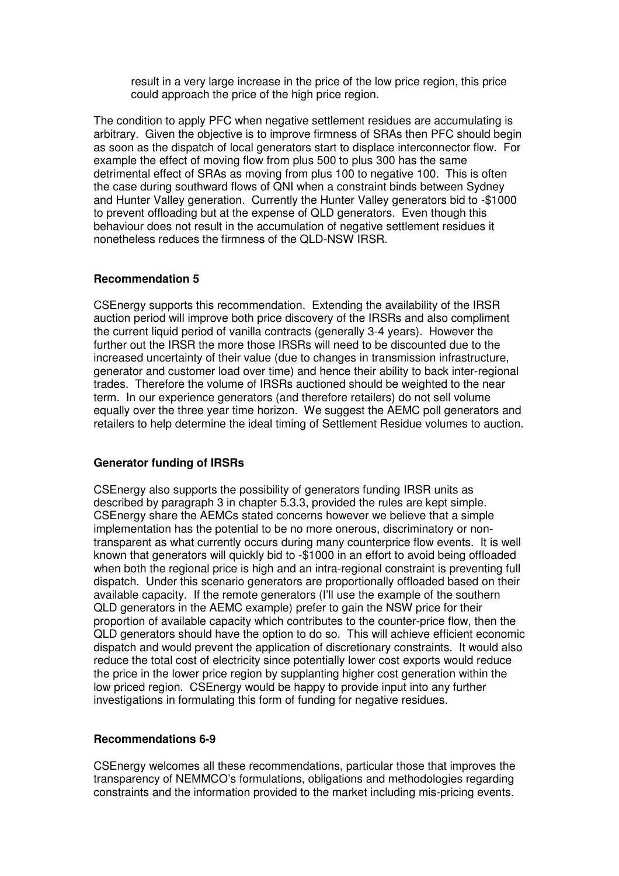result in a very large increase in the price of the low price region, this price could approach the price of the high price region.

The condition to apply PFC when negative settlement residues are accumulating is arbitrary. Given the objective is to improve firmness of SRAs then PFC should begin as soon as the dispatch of local generators start to displace interconnector flow. For example the effect of moving flow from plus 500 to plus 300 has the same detrimental effect of SRAs as moving from plus 100 to negative 100. This is often the case during southward flows of QNI when a constraint binds between Sydney and Hunter Valley generation. Currently the Hunter Valley generators bid to -\$1000 to prevent offloading but at the expense of QLD generators. Even though this behaviour does not result in the accumulation of negative settlement residues it nonetheless reduces the firmness of the QLD-NSW IRSR.

### **Recommendation 5**

CSEnergy supports this recommendation. Extending the availability of the IRSR auction period will improve both price discovery of the IRSRs and also compliment the current liquid period of vanilla contracts (generally 3-4 years). However the further out the IRSR the more those IRSRs will need to be discounted due to the increased uncertainty of their value (due to changes in transmission infrastructure, generator and customer load over time) and hence their ability to back inter-regional trades. Therefore the volume of IRSRs auctioned should be weighted to the near term. In our experience generators (and therefore retailers) do not sell volume equally over the three year time horizon. We suggest the AEMC poll generators and retailers to help determine the ideal timing of Settlement Residue volumes to auction.

## **Generator funding of IRSRs**

CSEnergy also supports the possibility of generators funding IRSR units as described by paragraph 3 in chapter 5.3.3, provided the rules are kept simple. CSEnergy share the AEMCs stated concerns however we believe that a simple implementation has the potential to be no more onerous, discriminatory or nontransparent as what currently occurs during many counterprice flow events. It is well known that generators will quickly bid to -\$1000 in an effort to avoid being offloaded when both the regional price is high and an intra-regional constraint is preventing full dispatch. Under this scenario generators are proportionally offloaded based on their available capacity. If the remote generators (I'll use the example of the southern QLD generators in the AEMC example) prefer to gain the NSW price for their proportion of available capacity which contributes to the counter-price flow, then the QLD generators should have the option to do so. This will achieve efficient economic dispatch and would prevent the application of discretionary constraints. It would also reduce the total cost of electricity since potentially lower cost exports would reduce the price in the lower price region by supplanting higher cost generation within the low priced region. CSEnergy would be happy to provide input into any further investigations in formulating this form of funding for negative residues.

## **Recommendations 6-9**

CSEnergy welcomes all these recommendations, particular those that improves the transparency of NEMMCO's formulations, obligations and methodologies regarding constraints and the information provided to the market including mis-pricing events.